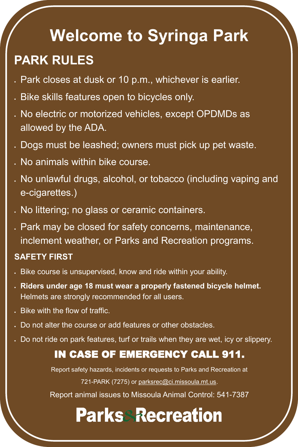# **Welcome to Syringa Park PARK RULES**

- Park closes at dusk or 10 p.m., whichever is earlier.
- Bike skills features open to bicycles only.
- No electric or motorized vehicles, except OPDMDs as allowed by the ADA.
- Dogs must be leashed; owners must pick up pet waste.
- No animals within bike course.
- No unlawful drugs, alcohol, or tobacco (including vaping and e-cigarettes.)
- No littering; no glass or ceramic containers.
- Park may be closed for safety concerns, maintenance, inclement weather, or Parks and Recreation programs.

Report safety hazards, incidents or requests to Parks and Recreation at 721-PARK (7275) or [parksrec@ci.missoula.mt.us.](mailto:parksrec@ci.missoula.mt.us)

#### **SAFETY FIRST**

- Bike course is unsupervised, know and ride within your ability.
- **Riders under age 18 must wear a properly fastened bicycle helmet.**  Helmets are strongly recommended for all users.
- Bike with the flow of traffic.
- Do not alter the course or add features or other obstacles.
- Do not ride on park features, turf or trails when they are wet, icy or slippery.

### IN CASE OF EMERGENCY CALL 911.

Report animal issues to Missoula Animal Control: 541-7387

## **Parks Recreation**